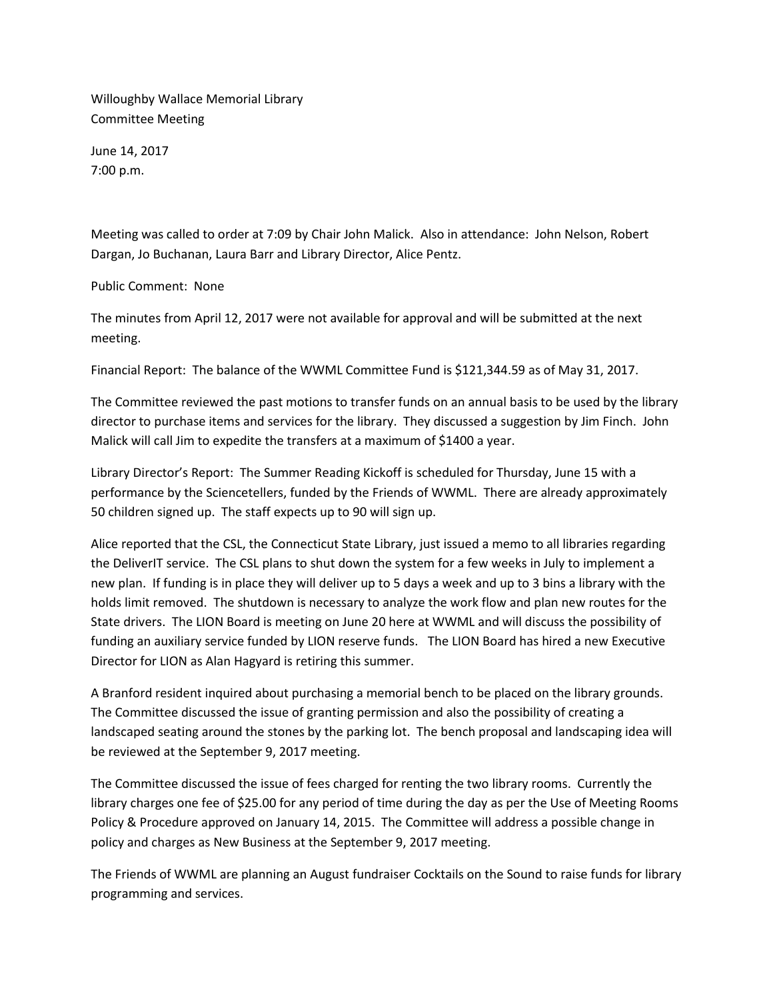Willoughby Wallace Memorial Library Committee Meeting

June 14, 2017 7:00 p.m.

Meeting was called to order at 7:09 by Chair John Malick. Also in attendance: John Nelson, Robert Dargan, Jo Buchanan, Laura Barr and Library Director, Alice Pentz.

## Public Comment: None

The minutes from April 12, 2017 were not available for approval and will be submitted at the next meeting.

Financial Report: The balance of the WWML Committee Fund is \$121,344.59 as of May 31, 2017.

The Committee reviewed the past motions to transfer funds on an annual basis to be used by the library director to purchase items and services for the library. They discussed a suggestion by Jim Finch. John Malick will call Jim to expedite the transfers at a maximum of \$1400 a year.

Library Director's Report: The Summer Reading Kickoff is scheduled for Thursday, June 15 with a performance by the Sciencetellers, funded by the Friends of WWML. There are already approximately 50 children signed up. The staff expects up to 90 will sign up.

Alice reported that the CSL, the Connecticut State Library, just issued a memo to all libraries regarding the DeliverIT service. The CSL plans to shut down the system for a few weeks in July to implement a new plan. If funding is in place they will deliver up to 5 days a week and up to 3 bins a library with the holds limit removed. The shutdown is necessary to analyze the work flow and plan new routes for the State drivers. The LION Board is meeting on June 20 here at WWML and will discuss the possibility of funding an auxiliary service funded by LION reserve funds. The LION Board has hired a new Executive Director for LION as Alan Hagyard is retiring this summer.

A Branford resident inquired about purchasing a memorial bench to be placed on the library grounds. The Committee discussed the issue of granting permission and also the possibility of creating a landscaped seating around the stones by the parking lot. The bench proposal and landscaping idea will be reviewed at the September 9, 2017 meeting.

The Committee discussed the issue of fees charged for renting the two library rooms. Currently the library charges one fee of \$25.00 for any period of time during the day as per the Use of Meeting Rooms Policy & Procedure approved on January 14, 2015. The Committee will address a possible change in policy and charges as New Business at the September 9, 2017 meeting.

The Friends of WWML are planning an August fundraiser Cocktails on the Sound to raise funds for library programming and services.